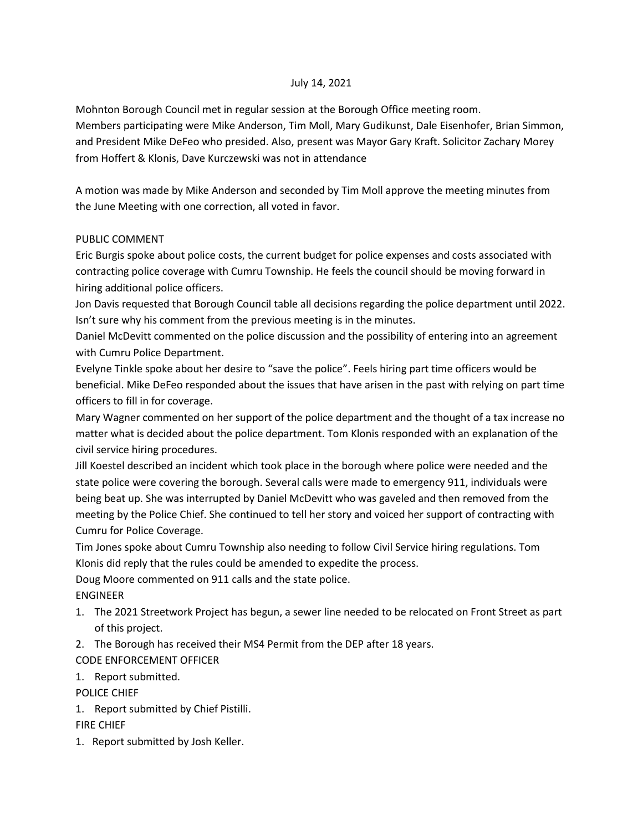## July 14, 2021

Mohnton Borough Council met in regular session at the Borough Office meeting room.

Members participating were Mike Anderson, Tim Moll, Mary Gudikunst, Dale Eisenhofer, Brian Simmon, and President Mike DeFeo who presided. Also, present was Mayor Gary Kraft. Solicitor Zachary Morey from Hoffert & Klonis, Dave Kurczewski was not in attendance

A motion was made by Mike Anderson and seconded by Tim Moll approve the meeting minutes from the June Meeting with one correction, all voted in favor.

## PUBLIC COMMENT

Eric Burgis spoke about police costs, the current budget for police expenses and costs associated with contracting police coverage with Cumru Township. He feels the council should be moving forward in hiring additional police officers.

Jon Davis requested that Borough Council table all decisions regarding the police department until 2022. Isn't sure why his comment from the previous meeting is in the minutes.

Daniel McDevitt commented on the police discussion and the possibility of entering into an agreement with Cumru Police Department.

Evelyne Tinkle spoke about her desire to "save the police". Feels hiring part time officers would be beneficial. Mike DeFeo responded about the issues that have arisen in the past with relying on part time officers to fill in for coverage.

Mary Wagner commented on her support of the police department and the thought of a tax increase no matter what is decided about the police department. Tom Klonis responded with an explanation of the civil service hiring procedures.

Jill Koestel described an incident which took place in the borough where police were needed and the state police were covering the borough. Several calls were made to emergency 911, individuals were being beat up. She was interrupted by Daniel McDevitt who was gaveled and then removed from the meeting by the Police Chief. She continued to tell her story and voiced her support of contracting with Cumru for Police Coverage.

Tim Jones spoke about Cumru Township also needing to follow Civil Service hiring regulations. Tom Klonis did reply that the rules could be amended to expedite the process.

Doug Moore commented on 911 calls and the state police.

ENGINEER

- 1. The 2021 Streetwork Project has begun, a sewer line needed to be relocated on Front Street as part of this project.
- 2. The Borough has received their MS4 Permit from the DEP after 18 years.

CODE ENFORCEMENT OFFICER

1. Report submitted.

POLICE CHIEF

1. Report submitted by Chief Pistilli.

FIRE CHIEF

1. Report submitted by Josh Keller.